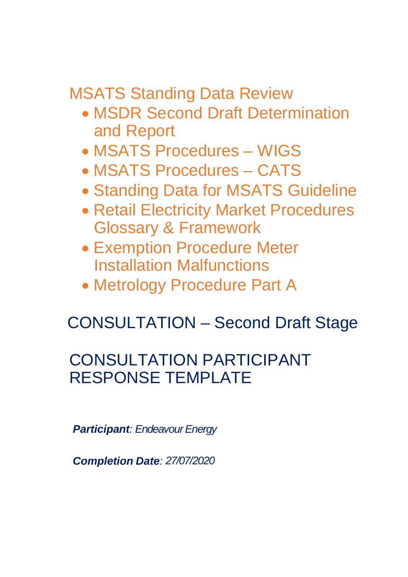MSATS Standing Data Review

- · MSDR Second Draft Determination and Report
- · MSATS Procedures WIGS
- · MSATS Procedures CATS
- · Standing Data for MSATS Guideline
- · Retail Electricity Market Procedures Glossary & Framework
- · Exemption Procedure Meter Installation Malfunctions
- · Metrology Procedure Part A

# CONSULTATION – Second Draft Stage

# CONSULTATION PARTICIPANT RESPONSE TEMPLATE

*Participant: Endeavour Energy*

*Completion Date: 27/07/2020*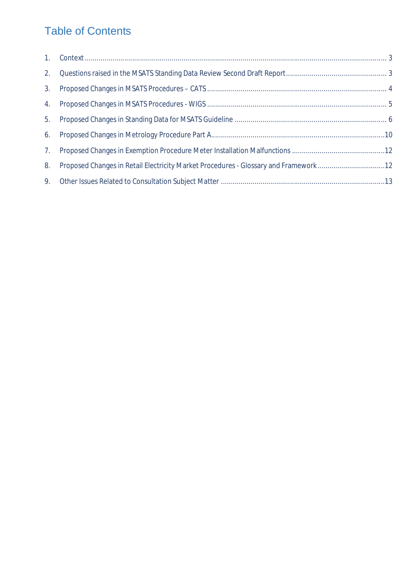## Table of Contents

| 5. |                                                                                     |  |
|----|-------------------------------------------------------------------------------------|--|
| 6. |                                                                                     |  |
|    |                                                                                     |  |
| 8. | Proposed Changes in Retail Electricity Market Procedures - Glossary and Framework12 |  |
|    |                                                                                     |  |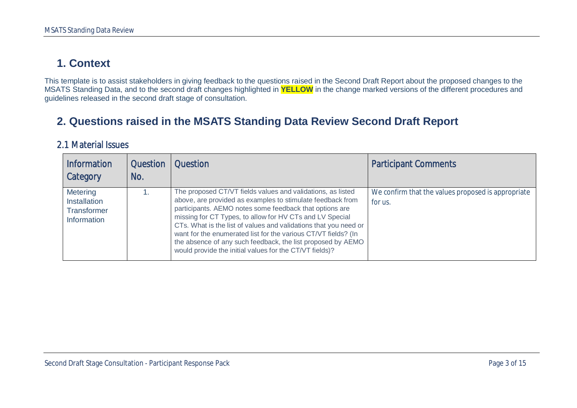### **1. Context**

This template is to assist stakeholders in giving feedback to the questions raised in the Second Draft Report about the proposed changes to the MSATS Standing Data, and to the second draft changes highlighted in **YELLOW** in the change marked versions of the different procedures and guidelines released in the second draft stage of consultation.

#### **2. Questions raised in the MSATS Standing Data Review Second Draft Report**

#### 2.1 Material Issues

<span id="page-2-1"></span><span id="page-2-0"></span>

| <b>Information</b><br>Category                                              | <b>Question</b><br>No. | Question                                                                                                                                                                                                                                                                                                                                                                                                                                                                                                         | <b>Participant Comments</b>                                   |
|-----------------------------------------------------------------------------|------------------------|------------------------------------------------------------------------------------------------------------------------------------------------------------------------------------------------------------------------------------------------------------------------------------------------------------------------------------------------------------------------------------------------------------------------------------------------------------------------------------------------------------------|---------------------------------------------------------------|
| <b>Metering</b><br><b>Installation</b><br>Transformer<br><b>Information</b> |                        | The proposed CT/VT fields values and validations, as listed<br>above, are provided as examples to stimulate feedback from<br>participants. AEMO notes some feedback that options are<br>missing for CT Types, to allow for HV CTs and LV Special<br>CTs. What is the list of values and validations that you need or<br>want for the enumerated list for the various CT/VT fields? (In<br>the absence of any such feedback, the list proposed by AEMO<br>would provide the initial values for the CT/VT fields)? | We confirm that the values proposed is appropriate<br>for us. |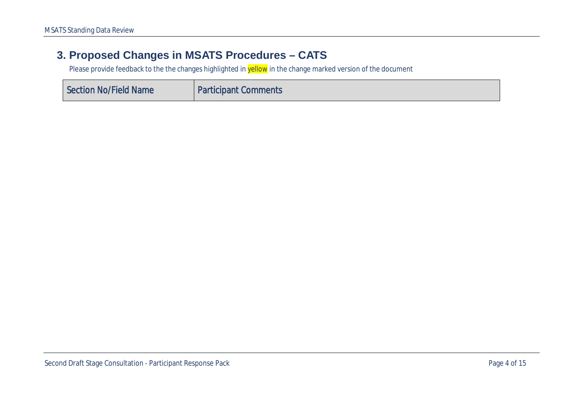#### **3. Proposed Changes in MSATS Procedures – CATS**

<span id="page-3-0"></span>

| Section No/Field Name | <b>Participant Comments</b> |
|-----------------------|-----------------------------|
|-----------------------|-----------------------------|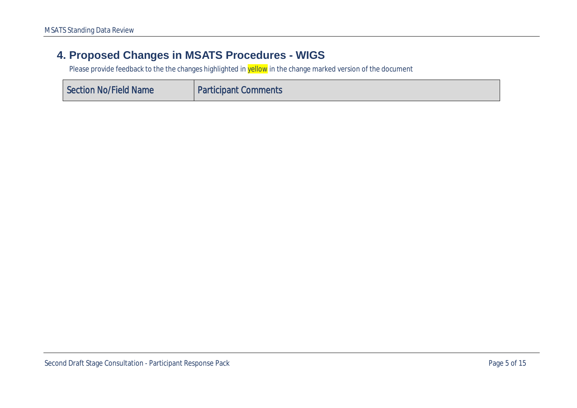#### **4. Proposed Changes in MSATS Procedures - WIGS**

<span id="page-4-0"></span>

| Section No/Field Name | <b>Participant Comments</b> |
|-----------------------|-----------------------------|
|-----------------------|-----------------------------|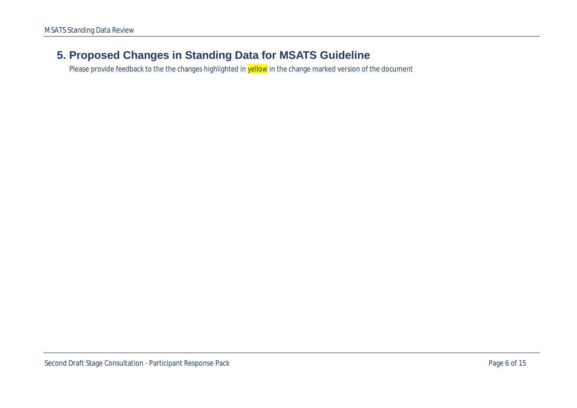#### <span id="page-5-0"></span>**5. Proposed Changes in Standing Data for MSATS Guideline**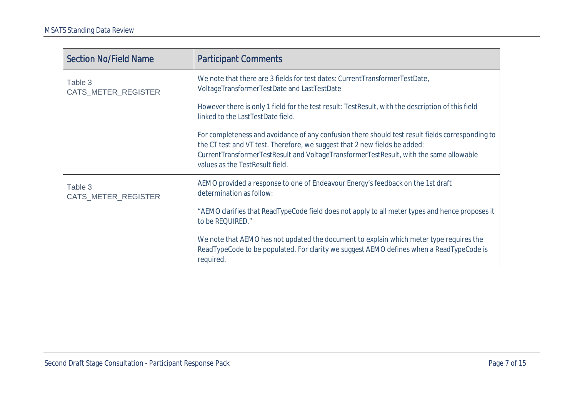| <b>Section No/Field Name</b>   | <b>Participant Comments</b>                                                                                                                                                                                                                                                                                 |
|--------------------------------|-------------------------------------------------------------------------------------------------------------------------------------------------------------------------------------------------------------------------------------------------------------------------------------------------------------|
| Table 3<br>CATS_METER_REGISTER | We note that there are 3 fields for test dates: CurrentTransformerTestDate,<br>VoltageTransformerTestDate and LastTestDate                                                                                                                                                                                  |
|                                | However there is only 1 field for the test result: TestResult, with the description of this field<br>linked to the LastTestDate field.                                                                                                                                                                      |
|                                | For completeness and avoidance of any confusion there should test result fields corresponding to<br>the CT test and VT test. Therefore, we suggest that 2 new fields be added:<br>CurrentTransformerTestResult and VoltageTransformerTestResult, with the same allowable<br>values as the TestResult field. |
| Table 3<br>CATS_METER_REGISTER | AEMO provided a response to one of Endeavour Energy's feedback on the 1st draft<br>determination as follow:                                                                                                                                                                                                 |
|                                | "AEMO clarifies that ReadTypeCode field does not apply to all meter types and hence proposes it<br>to be REQUIRED."                                                                                                                                                                                         |
|                                | We note that AEMO has not updated the document to explain which meter type requires the<br>ReadTypeCode to be populated. For clarity we suggest AEMO defines when a ReadTypeCode is<br>required.                                                                                                            |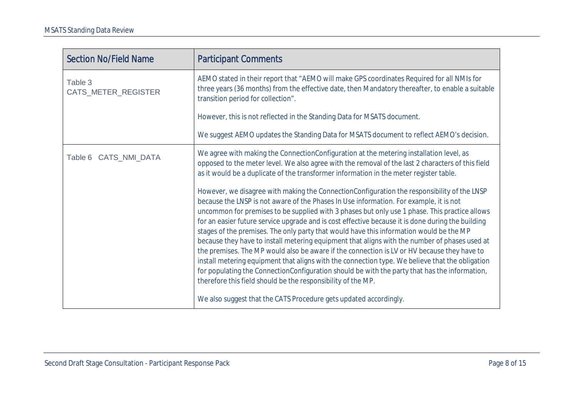| <b>Section No/Field Name</b>   | <b>Participant Comments</b>                                                                                                                                                                                                                                                                                                                                                                                                                                                                                                                                                                                                                                                                                                                                                                                                                                                                                                                                |
|--------------------------------|------------------------------------------------------------------------------------------------------------------------------------------------------------------------------------------------------------------------------------------------------------------------------------------------------------------------------------------------------------------------------------------------------------------------------------------------------------------------------------------------------------------------------------------------------------------------------------------------------------------------------------------------------------------------------------------------------------------------------------------------------------------------------------------------------------------------------------------------------------------------------------------------------------------------------------------------------------|
| Table 3<br>CATS_METER_REGISTER | AEMO stated in their report that "AEMO will make GPS coordinates Required for all NMIs for<br>three years (36 months) from the effective date, then Mandatory thereafter, to enable a suitable<br>transition period for collection".                                                                                                                                                                                                                                                                                                                                                                                                                                                                                                                                                                                                                                                                                                                       |
|                                | However, this is not reflected in the Standing Data for MSATS document.                                                                                                                                                                                                                                                                                                                                                                                                                                                                                                                                                                                                                                                                                                                                                                                                                                                                                    |
|                                | We suggest AEMO updates the Standing Data for MSATS document to reflect AEMO's decision.                                                                                                                                                                                                                                                                                                                                                                                                                                                                                                                                                                                                                                                                                                                                                                                                                                                                   |
| Table 6 CATS_NMI_DATA          | We agree with making the ConnectionConfiguration at the metering installation level, as<br>opposed to the meter level. We also agree with the removal of the last 2 characters of this field<br>as it would be a duplicate of the transformer information in the meter register table.                                                                                                                                                                                                                                                                                                                                                                                                                                                                                                                                                                                                                                                                     |
|                                | However, we disagree with making the ConnectionConfiguration the responsibility of the LNSP<br>because the LNSP is not aware of the Phases In Use information. For example, it is not<br>uncommon for premises to be supplied with 3 phases but only use 1 phase. This practice allows<br>for an easier future service upgrade and is cost effective because it is done during the building<br>stages of the premises. The only party that would have this information would be the MP<br>because they have to install metering equipment that aligns with the number of phases used at<br>the premises. The MP would also be aware if the connection is LV or HV because they have to<br>install metering equipment that aligns with the connection type. We believe that the obligation<br>for populating the ConnectionConfiguration should be with the party that has the information,<br>therefore this field should be the responsibility of the MP. |
|                                | We also suggest that the CATS Procedure gets updated accordingly.                                                                                                                                                                                                                                                                                                                                                                                                                                                                                                                                                                                                                                                                                                                                                                                                                                                                                          |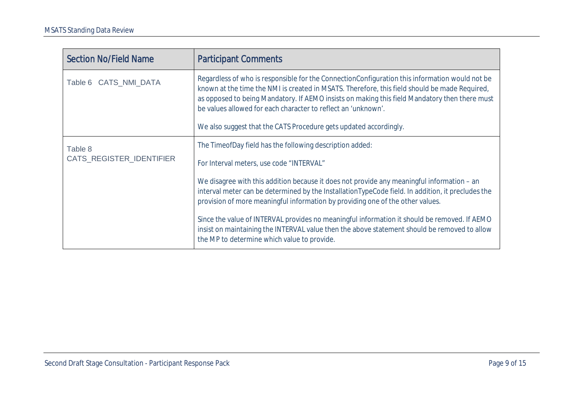| <b>Section No/Field Name</b> | <b>Participant Comments</b>                                                                                                                                                                                                                                                                                                                                                                                                            |
|------------------------------|----------------------------------------------------------------------------------------------------------------------------------------------------------------------------------------------------------------------------------------------------------------------------------------------------------------------------------------------------------------------------------------------------------------------------------------|
| Table 6 CATS_NMI_DATA        | Regardless of who is responsible for the ConnectionConfiguration this information would not be<br>known at the time the NMI is created in MSATS. Therefore, this field should be made Required,<br>as opposed to being Mandatory. If AEMO insists on making this field Mandatory then there must<br>be values allowed for each character to reflect an 'unknown'.<br>We also suggest that the CATS Procedure gets updated accordingly. |
| Table 8                      | The TimeofDay field has the following description added:                                                                                                                                                                                                                                                                                                                                                                               |
| CATS_REGISTER_IDENTIFIER     | For Interval meters, use code "INTERVAL"                                                                                                                                                                                                                                                                                                                                                                                               |
|                              | We disagree with this addition because it does not provide any meaningful information - an<br>interval meter can be determined by the InstallationTypeCode field. In addition, it precludes the<br>provision of more meaningful information by providing one of the other values.                                                                                                                                                      |
|                              | Since the value of INTERVAL provides no meaningful information it should be removed. If AEMO<br>insist on maintaining the INTERVAL value then the above statement should be removed to allow<br>the MP to determine which value to provide.                                                                                                                                                                                            |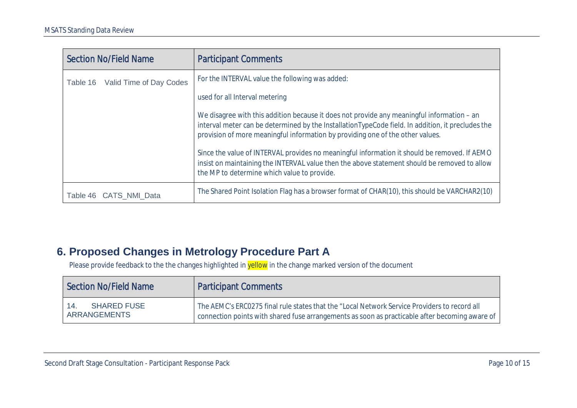| <b>Section No/Field Name</b>        | <b>Participant Comments</b>                                                                                                                                                                                                                                                       |
|-------------------------------------|-----------------------------------------------------------------------------------------------------------------------------------------------------------------------------------------------------------------------------------------------------------------------------------|
| Valid Time of Day Codes<br>Table 16 | For the INTERVAL value the following was added:                                                                                                                                                                                                                                   |
|                                     | used for all Interval metering                                                                                                                                                                                                                                                    |
|                                     | We disagree with this addition because it does not provide any meaningful information – an<br>interval meter can be determined by the InstallationTypeCode field. In addition, it precludes the<br>provision of more meaningful information by providing one of the other values. |
|                                     | Since the value of INTERVAL provides no meaningful information it should be removed. If AEMO<br>insist on maintaining the INTERVAL value then the above statement should be removed to allow<br>the MP to determine which value to provide.                                       |
| Table 46 CATS NMI Data              | The Shared Point Isolation Flag has a browser format of CHAR(10), this should be VARCHAR2(10)                                                                                                                                                                                     |

#### **6. Proposed Changes in Metrology Procedure Part A**

<span id="page-9-0"></span>

| Section No/Field Name                                   | <b>Participant Comments</b>                                                                                                                                                                    |
|---------------------------------------------------------|------------------------------------------------------------------------------------------------------------------------------------------------------------------------------------------------|
| <b>SHARED FUSE</b><br>$\vert$ 14<br><b>ARRANGEMENTS</b> | The AEMC's ERC0275 final rule states that the "Local Network Service Providers to record all<br>connection points with shared fuse arrangements as soon as practicable after becoming aware of |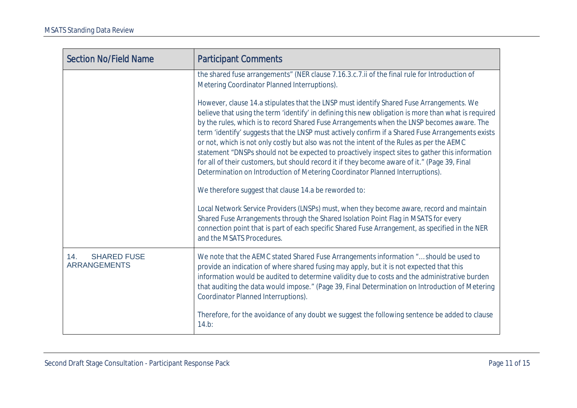| <b>Section No/Field Name</b> | <b>Participant Comments</b>                                                                                                                                                                                                                                                                                                                                                                                                                                                                                                                                                                                                                                                                                                                                                                                                                                                                                                                                                                                                                                                                                                                                        |
|------------------------------|--------------------------------------------------------------------------------------------------------------------------------------------------------------------------------------------------------------------------------------------------------------------------------------------------------------------------------------------------------------------------------------------------------------------------------------------------------------------------------------------------------------------------------------------------------------------------------------------------------------------------------------------------------------------------------------------------------------------------------------------------------------------------------------------------------------------------------------------------------------------------------------------------------------------------------------------------------------------------------------------------------------------------------------------------------------------------------------------------------------------------------------------------------------------|
|                              | the shared fuse arrangements" (NER clause 7.16.3.c.7.ii of the final rule for Introduction of<br>Metering Coordinator Planned Interruptions).                                                                                                                                                                                                                                                                                                                                                                                                                                                                                                                                                                                                                                                                                                                                                                                                                                                                                                                                                                                                                      |
|                              | However, clause 14.a stipulates that the LNSP must identify Shared Fuse Arrangements. We<br>believe that using the term 'identify' in defining this new obligation is more than what is required<br>by the rules, which is to record Shared Fuse Arrangements when the LNSP becomes aware. The<br>term 'identify' suggests that the LNSP must actively confirm if a Shared Fuse Arrangements exists<br>or not, which is not only costly but also was not the intent of the Rules as per the AEMC<br>statement "DNSPs should not be expected to proactively inspect sites to gather this information<br>for all of their customers, but should record it if they become aware of it." (Page 39, Final<br>Determination on Introduction of Metering Coordinator Planned Interruptions).<br>We therefore suggest that clause 14.a be reworded to:<br>Local Network Service Providers (LNSPs) must, when they become aware, record and maintain<br>Shared Fuse Arrangements through the Shared Isolation Point Flag in MSATS for every<br>connection point that is part of each specific Shared Fuse Arrangement, as specified in the NER<br>and the MSATS Procedures. |
| <b>SHARED FUSE</b><br>14.    | We note that the AEMC stated Shared Fuse Arrangements information " should be used to                                                                                                                                                                                                                                                                                                                                                                                                                                                                                                                                                                                                                                                                                                                                                                                                                                                                                                                                                                                                                                                                              |
| <b>ARRANGEMENTS</b>          | provide an indication of where shared fusing may apply, but it is not expected that this<br>information would be audited to determine validity due to costs and the administrative burden<br>that auditing the data would impose." (Page 39, Final Determination on Introduction of Metering<br>Coordinator Planned Interruptions).                                                                                                                                                                                                                                                                                                                                                                                                                                                                                                                                                                                                                                                                                                                                                                                                                                |
|                              | Therefore, for the avoidance of any doubt we suggest the following sentence be added to clause<br>$14.b$ :                                                                                                                                                                                                                                                                                                                                                                                                                                                                                                                                                                                                                                                                                                                                                                                                                                                                                                                                                                                                                                                         |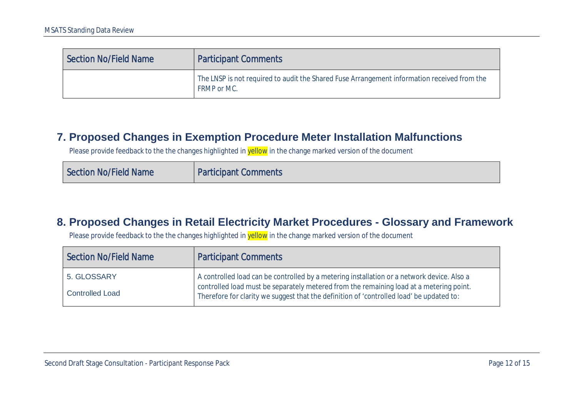| <b>Section No/Field Name</b> | <b>Participant Comments</b>                                                                                |
|------------------------------|------------------------------------------------------------------------------------------------------------|
|                              | The LNSP is not required to audit the Shared Fuse Arrangement information received from the<br>FRMP or MC. |

#### **7. Proposed Changes in Exemption Procedure Meter Installation Malfunctions**

Please provide feedback to the the changes highlighted in yellow in the change marked version of the document

| Section No/Field Name | <b>Participant Comments</b> |
|-----------------------|-----------------------------|
|-----------------------|-----------------------------|

#### **8. Proposed Changes in Retail Electricity Market Procedures - Glossary and Framework**

<span id="page-11-1"></span><span id="page-11-0"></span>

| <b>Section No/Field Name</b> | <b>Participant Comments</b>                                                                                                                                                                                                                                                       |
|------------------------------|-----------------------------------------------------------------------------------------------------------------------------------------------------------------------------------------------------------------------------------------------------------------------------------|
| 5. GLOSSARY                  | A controlled load can be controlled by a metering installation or a network device. Also a<br>controlled load must be separately metered from the remaining load at a metering point.<br>Therefore for clarity we suggest that the definition of 'controlled load' be updated to: |
| <b>Controlled Load</b>       |                                                                                                                                                                                                                                                                                   |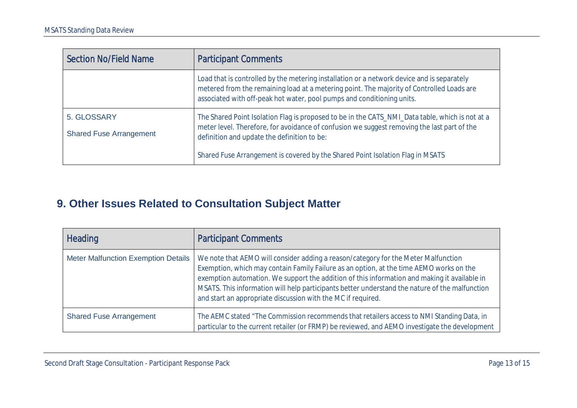| <b>Section No/Field Name</b>                  | <b>Participant Comments</b>                                                                                                                                                                                                                                       |
|-----------------------------------------------|-------------------------------------------------------------------------------------------------------------------------------------------------------------------------------------------------------------------------------------------------------------------|
|                                               | Load that is controlled by the metering installation or a network device and is separately<br>metered from the remaining load at a metering point. The majority of Controlled Loads are<br>associated with off-peak hot water, pool pumps and conditioning units. |
| 5. GLOSSARY<br><b>Shared Fuse Arrangement</b> | The Shared Point Isolation Flag is proposed to be in the CATS_NMI_Data table, which is not at a<br>meter level. Therefore, for avoidance of confusion we suggest removing the last part of the<br>definition and update the definition to be:                     |
|                                               | Shared Fuse Arrangement is covered by the Shared Point Isolation Flag in MSATS                                                                                                                                                                                    |

### **9. Other Issues Related to Consultation Subject Matter**

<span id="page-12-0"></span>

| <b>Heading</b>                             | <b>Participant Comments</b>                                                                                                                                                                                                                                                                                                                                                                                                                     |
|--------------------------------------------|-------------------------------------------------------------------------------------------------------------------------------------------------------------------------------------------------------------------------------------------------------------------------------------------------------------------------------------------------------------------------------------------------------------------------------------------------|
| <b>Meter Malfunction Exemption Details</b> | We note that AEMO will consider adding a reason/category for the Meter Malfunction<br>Exemption, which may contain Family Failure as an option, at the time AEMO works on the<br>exemption automation. We support the addition of this information and making it available in<br>MSATS. This information will help participants better understand the nature of the malfunction<br>and start an appropriate discussion with the MC if required. |
| <b>Shared Fuse Arrangement</b>             | The AEMC stated "The Commission recommends that retailers access to NMI Standing Data, in<br>particular to the current retailer (or FRMP) be reviewed, and AEMO investigate the development                                                                                                                                                                                                                                                     |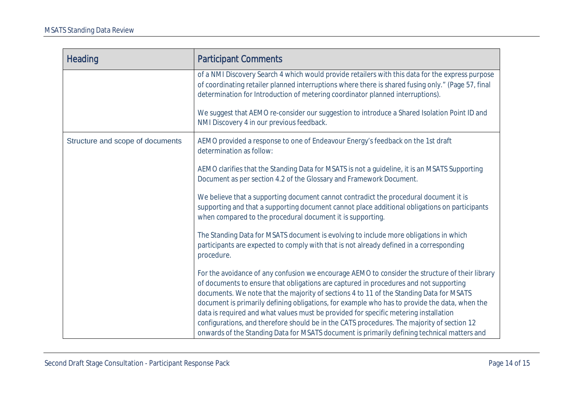| <b>Heading</b>                   | <b>Participant Comments</b>                                                                                                                                                                                                                                                                                                                                                                                                                                                                                                                                                                                                                                               |
|----------------------------------|---------------------------------------------------------------------------------------------------------------------------------------------------------------------------------------------------------------------------------------------------------------------------------------------------------------------------------------------------------------------------------------------------------------------------------------------------------------------------------------------------------------------------------------------------------------------------------------------------------------------------------------------------------------------------|
|                                  | of a NMI Discovery Search 4 which would provide retailers with this data for the express purpose<br>of coordinating retailer planned interruptions where there is shared fusing only." (Page 57, final<br>determination for Introduction of metering coordinator planned interruptions).                                                                                                                                                                                                                                                                                                                                                                                  |
|                                  | We suggest that AEMO re-consider our suggestion to introduce a Shared Isolation Point ID and<br>NMI Discovery 4 in our previous feedback.                                                                                                                                                                                                                                                                                                                                                                                                                                                                                                                                 |
| Structure and scope of documents | AEMO provided a response to one of Endeavour Energy's feedback on the 1st draft<br>determination as follow:                                                                                                                                                                                                                                                                                                                                                                                                                                                                                                                                                               |
|                                  | AEMO clarifies that the Standing Data for MSATS is not a guideline, it is an MSATS Supporting<br>Document as per section 4.2 of the Glossary and Framework Document.                                                                                                                                                                                                                                                                                                                                                                                                                                                                                                      |
|                                  | We believe that a supporting document cannot contradict the procedural document it is<br>supporting and that a supporting document cannot place additional obligations on participants<br>when compared to the procedural document it is supporting.                                                                                                                                                                                                                                                                                                                                                                                                                      |
|                                  | The Standing Data for MSATS document is evolving to include more obligations in which<br>participants are expected to comply with that is not already defined in a corresponding<br>procedure.                                                                                                                                                                                                                                                                                                                                                                                                                                                                            |
|                                  | For the avoidance of any confusion we encourage AEMO to consider the structure of their library<br>of documents to ensure that obligations are captured in procedures and not supporting<br>documents. We note that the majority of sections 4 to 11 of the Standing Data for MSATS<br>document is primarily defining obligations, for example who has to provide the data, when the<br>data is required and what values must be provided for specific metering installation<br>configurations, and therefore should be in the CATS procedures. The majority of section 12<br>onwards of the Standing Data for MSATS document is primarily defining technical matters and |